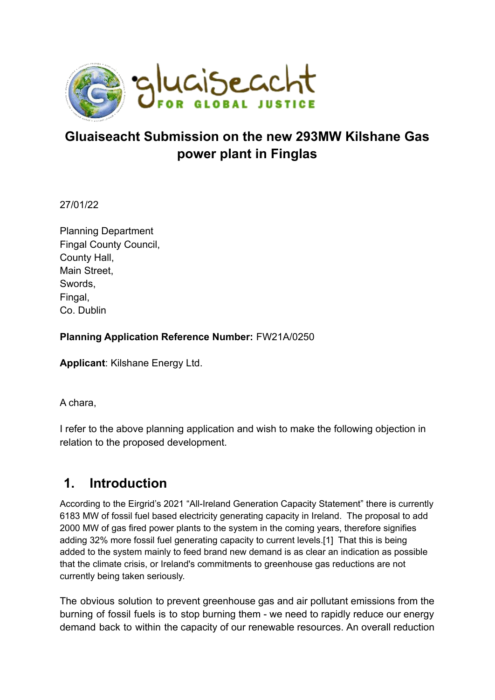

## **Gluaiseacht Submission on the new 293MW Kilshane Gas power plant in Finglas**

27/01/22

Planning Department Fingal County Council, County Hall, Main Street, Swords, Fingal, Co. Dublin

### **Planning Application Reference Number:** FW21A/0250

**Applicant**: Kilshane Energy Ltd.

A chara,

I refer to the above planning application and wish to make the following objection in relation to the proposed development.

## **1. Introduction**

According to the Eirgrid's 2021 "All-Ireland Generation Capacity Statement" there is currently 6183 MW of fossil fuel based electricity generating capacity in Ireland. The proposal to add 2000 MW of gas fired power plants to the system in the coming years, therefore signifies adding 32% more fossil fuel generating capacity to current levels.[1] That this is being added to the system mainly to feed brand new demand is as clear an indication as possible that the climate crisis, or Ireland's commitments to greenhouse gas reductions are not currently being taken seriously.

The obvious solution to prevent greenhouse gas and air pollutant emissions from the burning of fossil fuels is to stop burning them - we need to rapidly reduce our energy demand back to within the capacity of our renewable resources. An overall reduction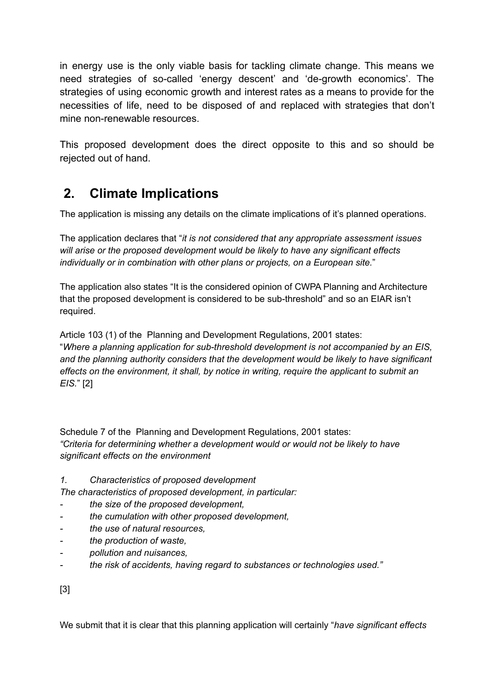in energy use is the only viable basis for tackling climate change. This means we need strategies of so-called 'energy descent' and 'de-growth economics'. The strategies of using economic growth and interest rates as a means to provide for the necessities of life, need to be disposed of and replaced with strategies that don't mine non-renewable resources.

This proposed development does the direct opposite to this and so should be rejected out of hand.

# **2. Climate Implications**

The application is missing any details on the climate implications of it's planned operations.

The application declares that "*it is not considered that any appropriate assessment issues will arise or the proposed development would be likely to have any significant effects individually or in combination with other plans or projects, on a European site.*"

The application also states "It is the considered opinion of CWPA Planning and Architecture that the proposed development is considered to be sub-threshold" and so an EIAR isn't required.

Article 103 (1) of the Planning and Development Regulations, 2001 states: "*Where a planning application for sub-threshold development is not accompanied by an EIS, and the planning authority considers that the development would be likely to have significant effects on the environment, it shall, by notice in writing, require the applicant to submit an EIS.*" [2]

Schedule 7 of the Planning and Development Regulations, 2001 states: *"Criteria for determining whether a development would or would not be likely to have significant effects on the environment*

*1. Characteristics of proposed development*

*The characteristics of proposed development, in particular:*

- *- the size of the proposed development,*
- *- the cumulation with other proposed development,*
- *- the use of natural resources,*
- *- the production of waste,*
- *- pollution and nuisances,*
- *- the risk of accidents, having regard to substances or technologies used."*

[3]

We submit that it is clear that this planning application will certainly "*have significant effects*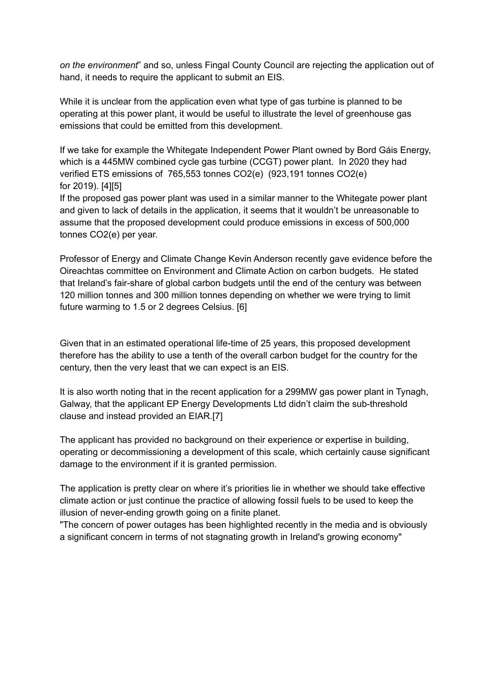*on the environment*" and so, unless Fingal County Council are rejecting the application out of hand, it needs to require the applicant to submit an EIS.

While it is unclear from the application even what type of gas turbine is planned to be operating at this power plant, it would be useful to illustrate the level of greenhouse gas emissions that could be emitted from this development.

If we take for example the Whitegate Independent Power Plant owned by Bord Gáis Energy, which is a 445MW combined cycle gas turbine (CCGT) power plant. In 2020 they had verified ETS emissions of 765,553 tonnes CO2(e) (923,191 tonnes CO2(e) for 2019). [4][5]

If the proposed gas power plant was used in a similar manner to the Whitegate power plant and given to lack of details in the application, it seems that it wouldn't be unreasonable to assume that the proposed development could produce emissions in excess of 500,000 tonnes CO2(e) per year.

Professor of Energy and Climate Change Kevin Anderson recently gave evidence before the Oireachtas committee on Environment and Climate Action on carbon budgets. He stated that Ireland's fair-share of global carbon budgets until the end of the century was between 120 million tonnes and 300 million tonnes depending on whether we were trying to limit future warming to 1.5 or 2 degrees Celsius. [6]

Given that in an estimated operational life-time of 25 years, this proposed development therefore has the ability to use a tenth of the overall carbon budget for the country for the century, then the very least that we can expect is an EIS.

It is also worth noting that in the recent application for a 299MW gas power plant in Tynagh, Galway, that the applicant EP Energy Developments Ltd didn't claim the sub-threshold clause and instead provided an EIAR.[7]

The applicant has provided no background on their experience or expertise in building, operating or decommissioning a development of this scale, which certainly cause significant damage to the environment if it is granted permission.

The application is pretty clear on where it's priorities lie in whether we should take effective climate action or just continue the practice of allowing fossil fuels to be used to keep the illusion of never-ending growth going on a finite planet.

"The concern of power outages has been highlighted recently in the media and is obviously a significant concern in terms of not stagnating growth in Ireland's growing economy"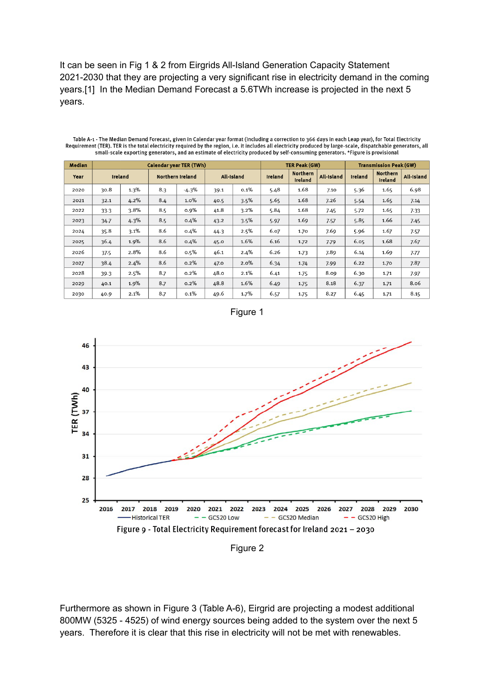It can be seen in Fig 1 & 2 from Eirgrids All-Island Generation Capacity Statement 2021-2030 that they are projecting a very significant rise in electricity demand in the coming years.[1] In the Median Demand Forecast a 5.6TWh increase is projected in the next 5 years.

| <b>Median</b> | <b>Calendar year TER (TWh)</b> |         |                         |         |            |         |         | TER Peak (GW)              |            | <b>Transmission Peak (GW)</b> |                            |                   |
|---------------|--------------------------------|---------|-------------------------|---------|------------|---------|---------|----------------------------|------------|-------------------------------|----------------------------|-------------------|
| Year          | Ireland                        |         | <b>Northern Ireland</b> |         | All-Island |         | Ireland | <b>Northern</b><br>Ireland | All-Island | Ireland                       | <b>Northern</b><br>Ireland | <b>All-Island</b> |
| 2020          | 30.8                           | $1.3\%$ | 8.3                     | $-4.3%$ | 39.1       | 0.1%    | 5.48    | 1.68                       | 7.10       | 5.36                          | 1.65                       | 6.98              |
| 2021          | 32.1                           | 4.2%    | 8.4                     | 1.0%    | 40.5       | 3.5%    | 5.65    | 1.68                       | 7.26       | 5.54                          | 1.65                       | 7.14              |
| 2022          | 33.3                           | $3.8\%$ | 8.5                     | $0.9\%$ | 41.8       | $3.2\%$ | 5.84    | 1.68                       | 7.45       | 5.72                          | 1.65                       | 7.33              |
| 2023          | 34.7                           | 4.3%    | 8.5                     | $0.4\%$ | 43.2       | 3.5%    | 5.97    | 1.69                       | 7.57       | 5.85                          | 1.66                       | 7.45              |
| 2024          | 35.8                           | $3.1\%$ | 8.6                     | 0.4%    | 44.3       | 2.5%    | 6.07    | 1.70                       | 7.69       | 5.96                          | 1.67                       | 7.57              |
| 2025          | 36.4                           | 1.9%    | 8.6                     | 0.4%    | 45.0       | 1.6%    | 6.16    | 1.72                       | 7.79       | 6.05                          | 1.68                       | 7.67              |
| 2026          | 37.5                           | 2.8%    | 8.6                     | $0.5\%$ | 46.1       | 2.4%    | 6.26    | 1.73                       | 7.89       | 6.14                          | 1.69                       | 7.77              |
| 2027          | 38.4                           | 2.4%    | 8.6                     | $0.2\%$ | 47.0       | 2.0%    | 6.34    | 1.74                       | 7.99       | 6.22                          | 1.70                       | 7.87              |
| 2028          | 39.3                           | 2.5%    | 8.7                     | 0.2%    | 48.0       | 2.1%    | 6.41    | 1.75                       | 8.09       | 6.30                          | 1.71                       | 7.97              |
| 2029          | 40.1                           | 1.9%    | 8.7                     | 0.2%    | 48.8       | 1.6%    | 6.49    | 1.75                       | 8.18       | 6.37                          | 1.71                       | 8.06              |
| 2030          | 40.9                           | 2.1%    | 8.7                     | 0.1%    | 49.6       | 1.7%    | 6.57    | 1.75                       | 8.27       | 6.45                          | 1.71                       | 8.15              |

Table A-1 - The Median Demand Forecast, given in Calendar year format (including a correction to 366 days in each Leap year), for Total Electricity Requirement (TER). TER is the total electricity required by the region, i.e. it includes all electricity produced by large-scale, dispatchable generators, all electricity required by the region, i.e. it includes all electr





Figure 2

Furthermore as shown in Figure 3 (Table A-6), Eirgrid are projecting a modest additional 800MW (5325 - 4525) of wind energy sources being added to the system over the next 5 years. Therefore it is clear that this rise in electricity will not be met with renewables.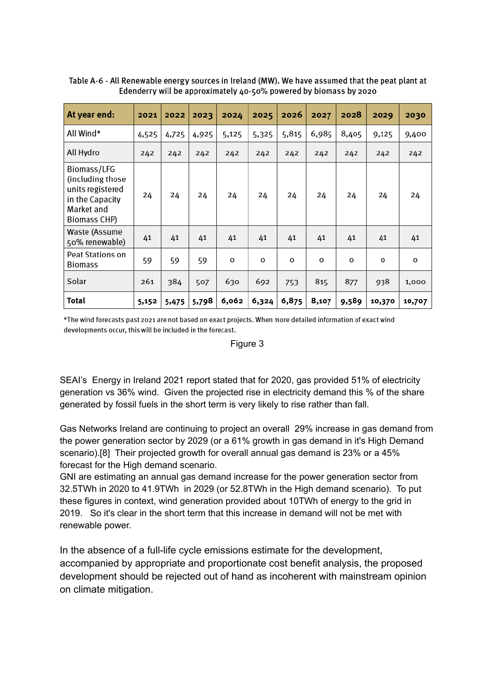| At year end:                                                                                         | 2021  | 2022  | 2023  | 2024  | 2025  | 2026  | 2027  | 2028  | 2029   | 2030   |
|------------------------------------------------------------------------------------------------------|-------|-------|-------|-------|-------|-------|-------|-------|--------|--------|
| All Wind*                                                                                            | 4,525 | 4,725 | 4,925 | 5,125 | 5,325 | 5,815 | 6,985 | 8,405 | 9,125  | 9,400  |
| All Hydro                                                                                            | 242   | 242   | 242   | 242   | 242   | 242   | 242   | 242   | 242    | 242    |
| Biomass/LFG<br>(including those<br>units registered<br>in the Capacity<br>Market and<br>Biomass CHP) | 24    | 24    | 24    | 24    | 24    | 24    | 24    | 24    | 24     | 24     |
| Waste (Assume<br>50% renewable)                                                                      | 41    | 41    | 41    | 41    | 41    | 41    | 41    | 41    | 41     | 41     |
| Peat Stations on<br><b>Biomass</b>                                                                   | 59    | 59    | 59    | o     | o     | o     | o     | 0     | O      | o      |
| Solar                                                                                                | 261   | 384   | 507   | 630   | 692   | 753   | 815   | 877   | 938    | 1,000  |
| Total                                                                                                | 5,152 | 5,475 | 5,798 | 6,062 | 6,324 | 6,875 | 8,107 | 9,589 | 10,370 | 10,707 |

Table A-6 - All Renewable energy sources in Ireland (MW). We have assumed that the peat plant at Edenderry will be approximately 40-50% powered by biomass by 2020

\*The wind forecasts past 2021 are not based on exact projects. When more detailed information of exact wind developments occur, this will be included in the forecast.

#### Figure 3

SEAI's Energy in Ireland 2021 report stated that for 2020, gas provided 51% of electricity generation vs 36% wind. Given the projected rise in electricity demand this % of the share generated by fossil fuels in the short term is very likely to rise rather than fall.

Gas Networks Ireland are continuing to project an overall 29% increase in gas demand from the power generation sector by 2029 (or a 61% growth in gas demand in it's High Demand scenario).[8] Their projected growth for overall annual gas demand is 23% or a 45% forecast for the High demand scenario.

GNI are estimating an annual gas demand increase for the power generation sector from 32.5TWh in 2020 to 41.9TWh in 2029 (or 52.8TWh in the High demand scenario). To put these figures in context, wind generation provided about 10TWh of energy to the grid in 2019. So it's clear in the short term that this increase in demand will not be met with renewable power.

In the absence of a full-life cycle emissions estimate for the development, accompanied by appropriate and proportionate cost benefit analysis, the proposed development should be rejected out of hand as incoherent with mainstream opinion on climate mitigation.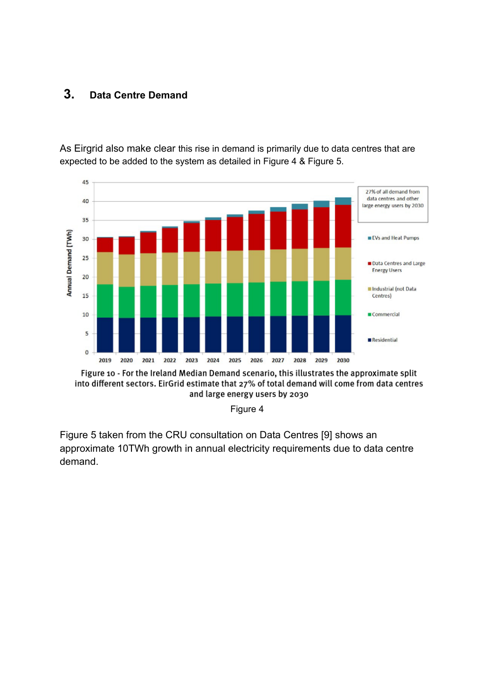## **3. Data Centre Demand**

As Eirgrid also make clear this rise in demand is primarily due to data centres that are expected to be added to the system as detailed in Figure 4 & Figure 5.



Figure 10 - For the Ireland Median Demand scenario, this illustrates the approximate split into different sectors. EirGrid estimate that 27% of total demand will come from data centres and large energy users by 2030

Figure 4

Figure 5 taken from the CRU consultation on Data Centres [9] shows an approximate 10TWh growth in annual electricity requirements due to data centre demand.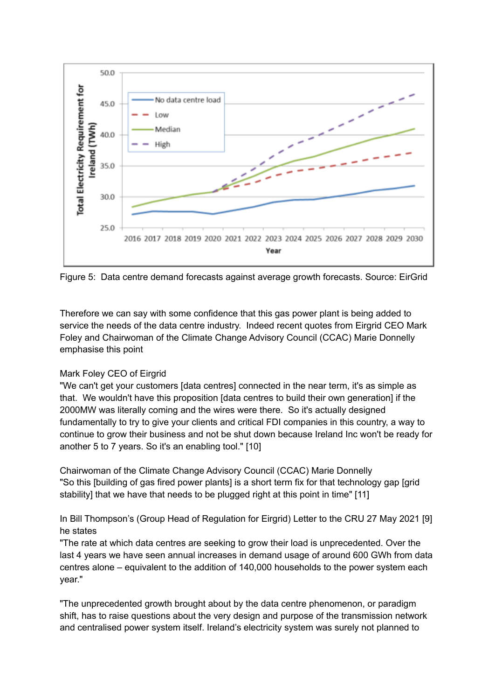

Figure 5: Data centre demand forecasts against average growth forecasts. Source: EirGrid

Therefore we can say with some confidence that this gas power plant is being added to service the needs of the data centre industry. Indeed recent quotes from Eirgrid CEO Mark Foley and Chairwoman of the Climate Change Advisory Council (CCAC) Marie Donnelly emphasise this point

#### Mark Foley CEO of Eirgrid

"We can't get your customers [data centres] connected in the near term, it's as simple as that. We wouldn't have this proposition [data centres to build their own generation] if the 2000MW was literally coming and the wires were there. So it's actually designed fundamentally to try to give your clients and critical FDI companies in this country, a way to continue to grow their business and not be shut down because Ireland Inc won't be ready for another 5 to 7 years. So it's an enabling tool." [10]

Chairwoman of the Climate Change Advisory Council (CCAC) Marie Donnelly "So this [building of gas fired power plants] is a short term fix for that technology gap [grid stability] that we have that needs to be plugged right at this point in time" [11]

In Bill Thompson's (Group Head of Regulation for Eirgrid) Letter to the CRU 27 May 2021 [9] he states

"The rate at which data centres are seeking to grow their load is unprecedented. Over the last 4 years we have seen annual increases in demand usage of around 600 GWh from data centres alone – equivalent to the addition of 140,000 households to the power system each year."

"The unprecedented growth brought about by the data centre phenomenon, or paradigm shift, has to raise questions about the very design and purpose of the transmission network and centralised power system itself. Ireland's electricity system was surely not planned to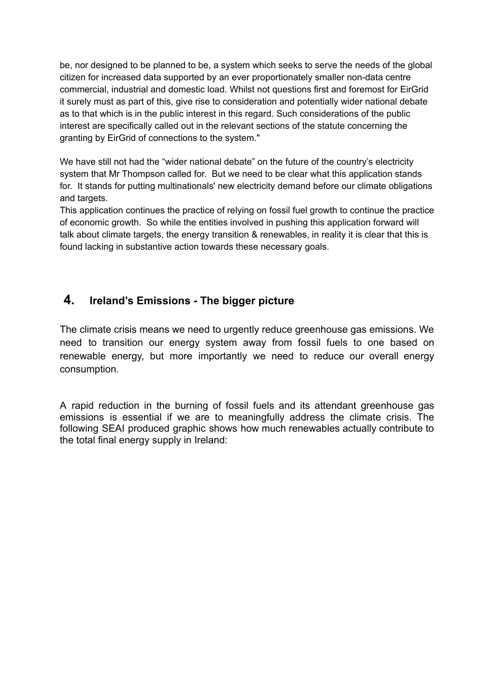be, nor designed to be planned to be, a system which seeks to serve the needs of the global citizen for increased data supported by an ever proportionately smaller non-data centre commercial, industrial and domestic load. Whilst not questions first and foremost for EirGrid it surely must as part of this, give rise to consideration and potentially wider national debate as to that which is in the public interest in this regard. Such considerations of the public interest are specifically called out in the relevant sections of the statute concerning the granting by EirGrid of connections to the system."

We have still not had the "wider national debate" on the future of the country's electricity system that Mr Thompson called for. But we need to be clear what this application stands for. It stands for putting multinationals' new electricity demand before our climate obligations and targets.

This application continues the practice of relying on fossil fuel growth to continue the practice of economic growth. So while the entities involved in pushing this application forward will talk about climate targets, the energy transition & renewables, in reality it is clear that this is found lacking in substantive action towards these necessary goals.

## **4. Ireland's Emissions - The bigger picture**

The climate crisis means we need to urgently reduce greenhouse gas emissions. We need to transition our energy system away from fossil fuels to one based on renewable energy, but more importantly we need to reduce our overall energy consumption.

A rapid reduction in the burning of fossil fuels and its attendant greenhouse gas emissions is essential if we are to meaningfully address the climate crisis. The following SEAI produced graphic shows how much renewables actually contribute to the total final energy supply in Ireland: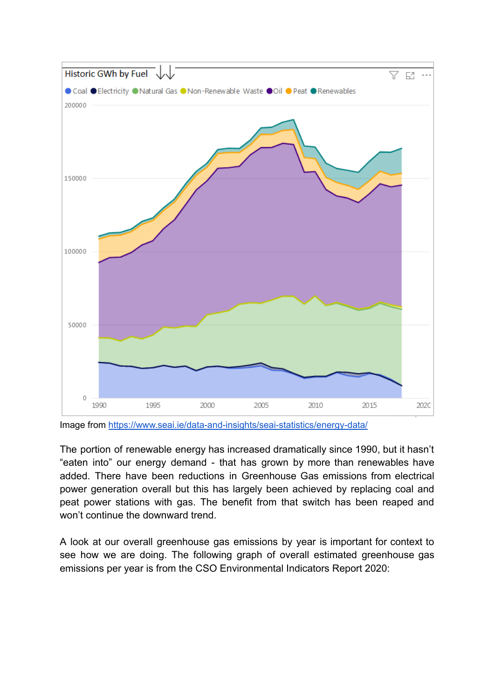

Image from <https://www.seai.ie/data-and-insights/seai-statistics/energy-data/>

The portion of renewable energy has increased dramatically since 1990, but it hasn't "eaten into" our energy demand - that has grown by more than renewables have added. There have been reductions in Greenhouse Gas emissions from electrical power generation overall but this has largely been achieved by replacing coal and peat power stations with gas. The benefit from that switch has been reaped and won't continue the downward trend.

A look at our overall greenhouse gas emissions by year is important for context to see how we are doing. The following graph of overall estimated greenhouse gas emissions per year is from the CSO Environmental Indicators Report 2020: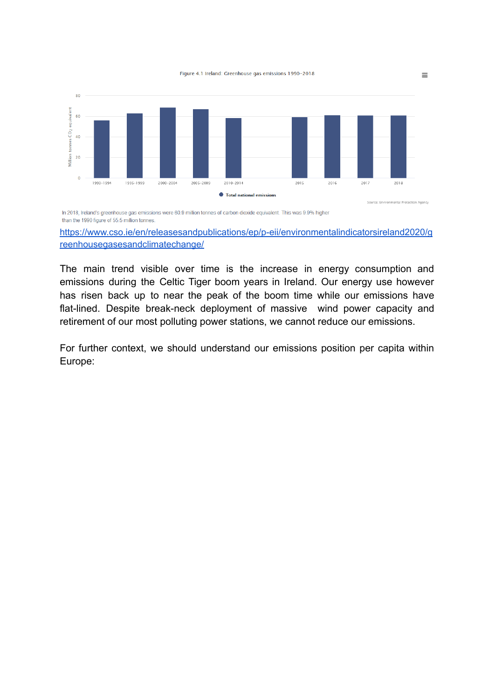

In 2018, Ireland's greenhouse gas emissions were 60.9 million tonnes of carbon dioxide equivalent. This was 9.9% higher than the 1990 figure of 55.5 million tonnes.

[https://www.cso.ie/en/releasesandpublications/ep/p-eii/environmentalindicatorsireland2020/g](https://www.cso.ie/en/releasesandpublications/ep/p-eii/environmentalindicatorsireland2020/greenhousegasesandclimatechange/) [reenhousegasesandclimatechange/](https://www.cso.ie/en/releasesandpublications/ep/p-eii/environmentalindicatorsireland2020/greenhousegasesandclimatechange/)

The main trend visible over time is the increase in energy consumption and emissions during the Celtic Tiger boom years in Ireland. Our energy use however has risen back up to near the peak of the boom time while our emissions have flat-lined. Despite break-neck deployment of massive wind power capacity and retirement of our most polluting power stations, we cannot reduce our emissions.

For further context, we should understand our emissions position per capita within Europe:

 $\equiv$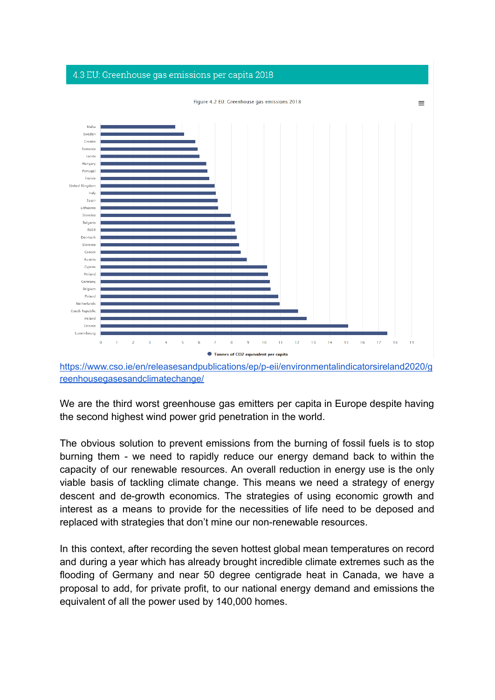#### 4.3 EU: Greenhouse gas emissions per capita 2018



[https://www.cso.ie/en/releasesandpublications/ep/p-eii/environmentalindicatorsireland2020/g](https://www.cso.ie/en/releasesandpublications/ep/p-eii/environmentalindicatorsireland2020/greenhousegasesandclimatechange/) [reenhousegasesandclimatechange/](https://www.cso.ie/en/releasesandpublications/ep/p-eii/environmentalindicatorsireland2020/greenhousegasesandclimatechange/)

We are the third worst greenhouse gas emitters per capita in Europe despite having the second highest wind power grid penetration in the world.

The obvious solution to prevent emissions from the burning of fossil fuels is to stop burning them - we need to rapidly reduce our energy demand back to within the capacity of our renewable resources. An overall reduction in energy use is the only viable basis of tackling climate change. This means we need a strategy of energy descent and de-growth economics. The strategies of using economic growth and interest as a means to provide for the necessities of life need to be deposed and replaced with strategies that don't mine our non-renewable resources.

In this context, after recording the seven hottest global mean temperatures on record and during a year which has already brought incredible climate extremes such as the flooding of Germany and near 50 degree centigrade heat in Canada, we have a proposal to add, for private profit, to our national energy demand and emissions the equivalent of all the power used by 140,000 homes.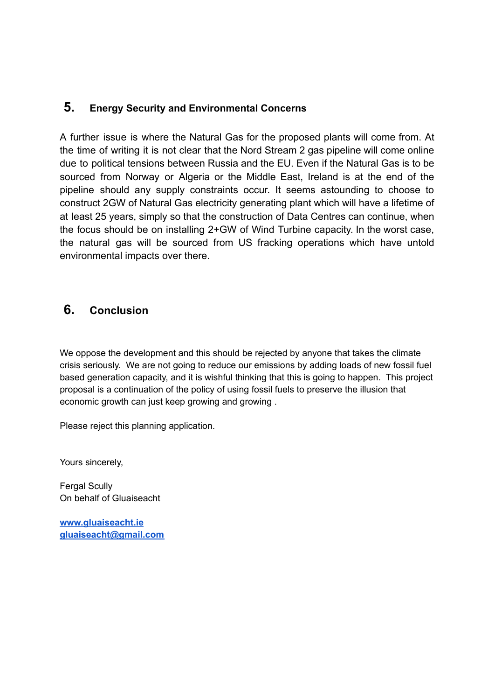## **5. Energy Security and Environmental Concerns**

A further issue is where the Natural Gas for the proposed plants will come from. At the time of writing it is not clear that the Nord Stream 2 gas pipeline will come online due to political tensions between Russia and the EU. Even if the Natural Gas is to be sourced from Norway or Algeria or the Middle East, Ireland is at the end of the pipeline should any supply constraints occur. It seems astounding to choose to construct 2GW of Natural Gas electricity generating plant which will have a lifetime of at least 25 years, simply so that the construction of Data Centres can continue, when the focus should be on installing 2+GW of Wind Turbine capacity. In the worst case, the natural gas will be sourced from US fracking operations which have untold environmental impacts over there.

## **6. Conclusion**

We oppose the development and this should be rejected by anyone that takes the climate crisis seriously. We are not going to reduce our emissions by adding loads of new fossil fuel based generation capacity, and it is wishful thinking that this is going to happen. This project proposal is a continuation of the policy of using fossil fuels to preserve the illusion that economic growth can just keep growing and growing .

Please reject this planning application.

Yours sincerely,

Fergal Scully On behalf of Gluaiseacht

**[www.gluaiseacht.ie](http://www.gluaiseacht.ie) [gluaiseacht@gmail.com](mailto:gluaiseacht@gmail.com)**